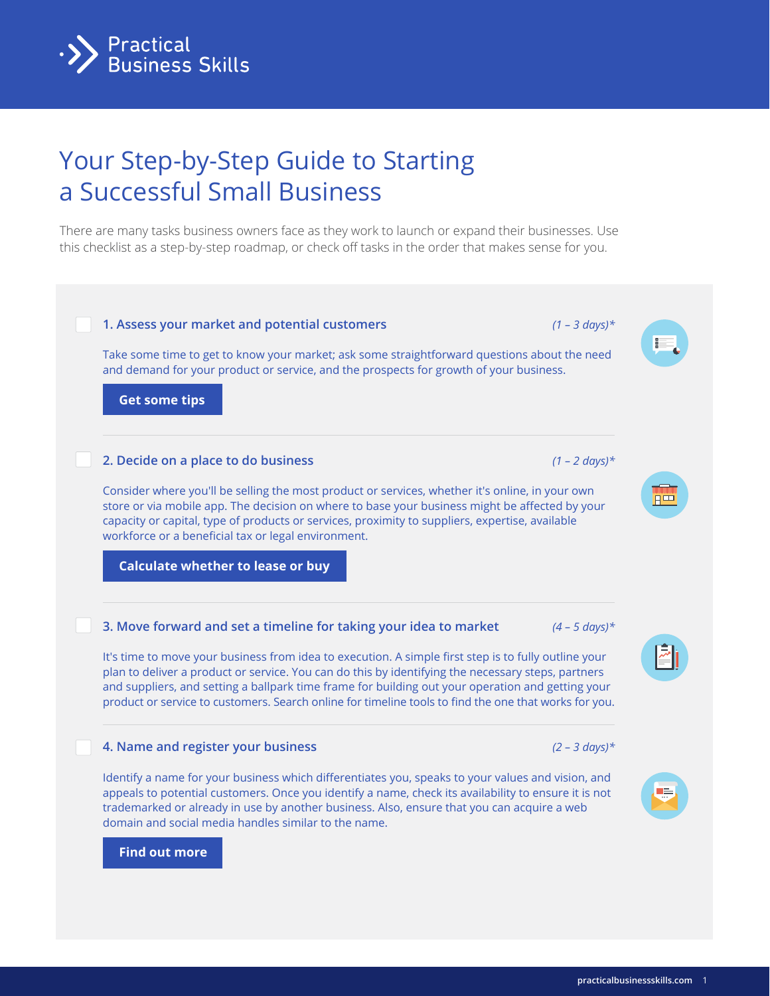

# Your Step-by-Step Guide to Starting a Successful Small Business

There are many tasks business owners face as they work to launch or expand their businesses. Use this checklist as a step-by-step roadmap, or check off tasks in the order that makes sense for you.

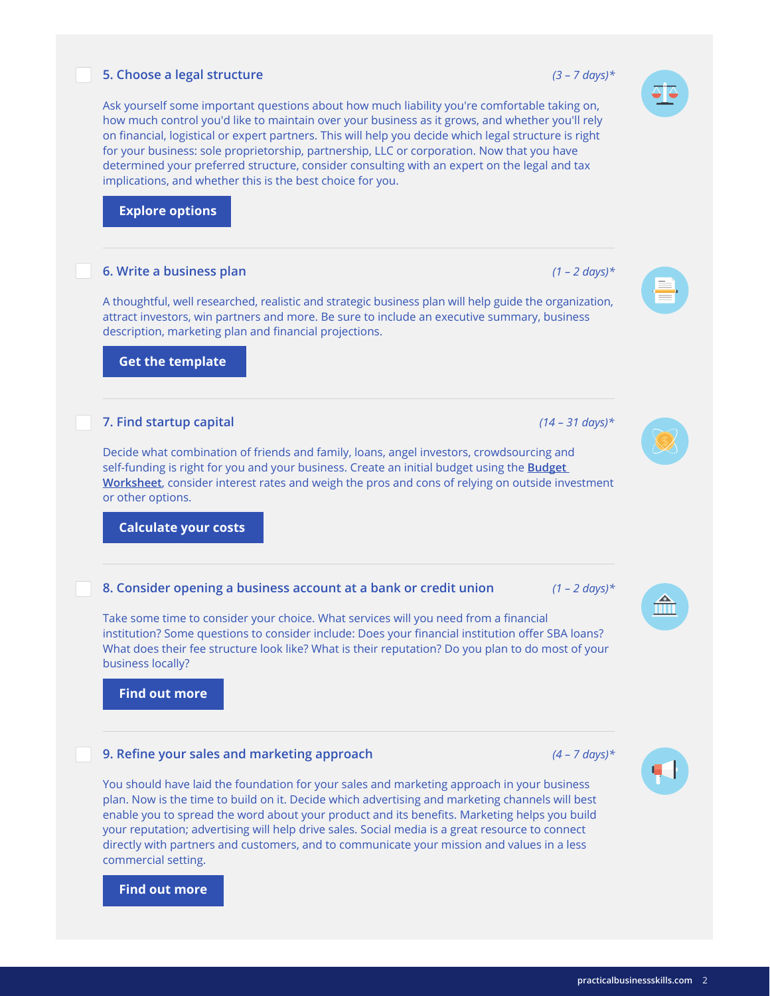## **5. Choose a legal structure** *(3 – 7 days)\**

Ask yourself some important questions about how much liability you're comfortable taking on, how much control you'd like to maintain over your business as it grows, and whether you'll rely on financial, logistical or expert partners. This will help you decide which legal structure is right for your business: sole proprietorship, partnership, LLC or corporation. Now that you have determined your preferred structure, consider consulting with an expert on the legal and tax implications, and whether this is the best choice for you.

## **[Explore options](http://practicalbusinessskills.com/getting-started/creating-a-business#structure)**

# **6. Write a business plan** *(1 – 2 days)\**

A thoughtful, well researched, realistic and strategic business plan will help guide the organization, attract investors, win partners and more. Be sure to include an executive summary, business description, marketing plan and financial projections.

 **[Get the template](https://www.practicalbusinessskills.com/assets/templates/en/business-plan.pdf)**

#### **7. Find startup capital** *(14 – 31 days)\**

Decide what combination of friends and family, loans, angel investors, crowdsourcing and self-funding is right for you and your business. Create an initial budget using the **[Budget](http://practicalbusinessskills.com/assets/templates/en/budget-worksheet-template.pdf)  [Worksheet](http://practicalbusinessskills.com/assets/templates/en/budget-worksheet-template.pdf)**, consider interest rates and weigh the pros and cons of relying on outside investment or other options.

 **[Calculate your costs](http://practicalbusinessskills.com/resources/calculators/starting-costs)**

#### **8. Consider opening a business account at a bank or credit union** *(1 – 2 days)\**

Take some time to consider your choice. What services will you need from a financial institution? Some questions to consider include: Does your financial institution offer SBA loans? What does their fee structure look like? What is their reputation? Do you plan to do most of your business locally?

 **[Find out more](http://practicalbusinessskills.com/managing-a-business/financial-management/banking-services)**

## **9. Refine your sales and marketing approach** *(4 – 7 days)\**

You should have laid the foundation for your sales and marketing approach in your business plan. Now is the time to build on it. Decide which advertising and marketing channels will best enable you to spread the word about your product and its benefits. Marketing helps you build your reputation; advertising will help drive sales. Social media is a great resource to connect directly with partners and customers, and to communicate your mission and values in a less commercial setting.

# **[Find out more](http://practicalbusinessskills.com/managing-a-business/promoting-a-business/marketing-and-advertising)**







 $\widehat{\mathbb{H}}$